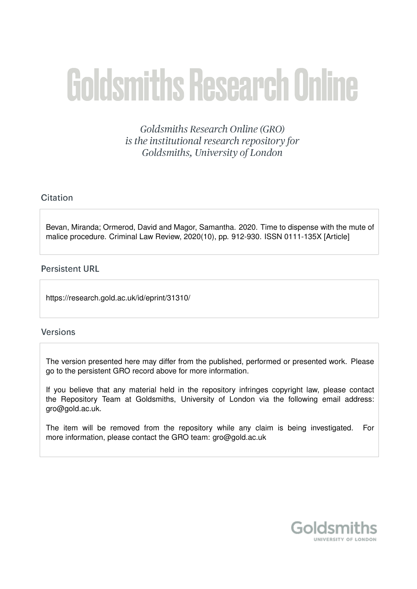# **Goldsmiths Research Online**

Goldsmiths Research Online (GRO) is the institutional research repository for Goldsmiths, University of London

# Citation

Bevan, Miranda; Ormerod, David and Magor, Samantha. 2020. Time to dispense with the mute of malice procedure. Criminal Law Review, 2020(10), pp. 912-930. ISSN 0111-135X [Article]

# **Persistent URL**

https://research.gold.ac.uk/id/eprint/31310/

# **Versions**

The version presented here may differ from the published, performed or presented work. Please go to the persistent GRO record above for more information.

If you believe that any material held in the repository infringes copyright law, please contact the Repository Team at Goldsmiths, University of London via the following email address: gro@gold.ac.uk.

The item will be removed from the repository while any claim is being investigated. For more information, please contact the GRO team: gro@gold.ac.uk

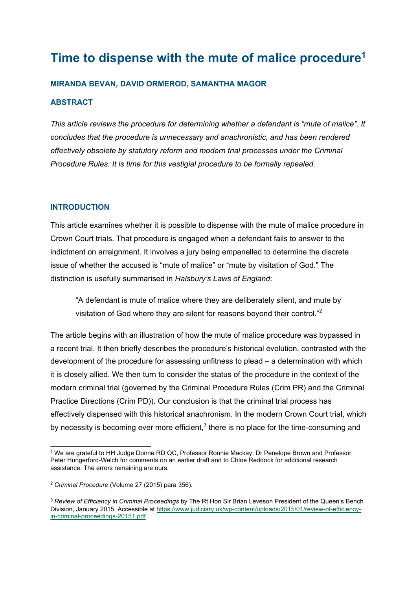# **Time to dispense with the mute of malice procedure1**

#### **MIRANDA BEVAN, DAVID ORMEROD, SAMANTHA MAGOR**

#### **ABSTRACT**

*This article reviews the procedure for determining whether a defendant is "mute of malice". It concludes that the procedure is unnecessary and anachronistic, and has been rendered effectively obsolete by statutory reform and modern trial processes under the Criminal Procedure Rules. It is time for this vestigial procedure to be formally repealed.*

#### **INTRODUCTION**

This article examines whether it is possible to dispense with the mute of malice procedure in Crown Court trials. That procedure is engaged when a defendant fails to answer to the indictment on arraignment. It involves a jury being empanelled to determine the discrete issue of whether the accused is "mute of malice" or "mute by visitation of God." The distinction is usefully summarised in *Halsbury's Laws of England*:

"A defendant is mute of malice where they are deliberately silent, and mute by visitation of God where they are silent for reasons beyond their control."<sup>2</sup>

The article begins with an illustration of how the mute of malice procedure was bypassed in a recent trial. It then briefly describes the procedure's historical evolution, contrasted with the development of the procedure for assessing unfitness to plead – a determination with which it is closely allied. We then turn to consider the status of the procedure in the context of the modern criminal trial (governed by the Criminal Procedure Rules (Crim PR) and the Criminal Practice Directions (Crim PD)). Our conclusion is that the criminal trial process has effectively dispensed with this historical anachronism. In the modern Crown Court trial, which by necessity is becoming ever more efficient, $3$  there is no place for the time-consuming and

<sup>&</sup>lt;sup>1</sup> We are grateful to HH Judge Donne RD QC, Professor Ronnie Mackay, Dr Penelope Brown and Professor Peter Hungerford-Welch for comments on an earlier draft and to Chloe Reddock for additional research assistance. The errors remaining are ours.

<sup>2</sup> *Criminal Procedure* (Volume 27 (2015) para 356).

<sup>3</sup> *Review of Efficiency in Criminal Proceedings* by The Rt Hon Sir Brian Leveson President of the Queen's Bench Division, January 2015. Accessible at https://www.judiciary.uk/wp-content/uploads/2015/01/review-of-efficiencyin-criminal-proceedings-20151.pdf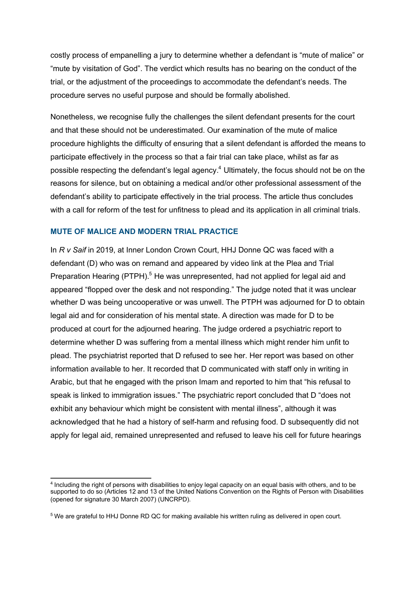costly process of empanelling a jury to determine whether a defendant is "mute of malice" or "mute by visitation of God". The verdict which results has no bearing on the conduct of the trial, or the adjustment of the proceedings to accommodate the defendant's needs. The procedure serves no useful purpose and should be formally abolished.

Nonetheless, we recognise fully the challenges the silent defendant presents for the court and that these should not be underestimated. Our examination of the mute of malice procedure highlights the difficulty of ensuring that a silent defendant is afforded the means to participate effectively in the process so that a fair trial can take place, whilst as far as possible respecting the defendant's legal agency.<sup>4</sup> Ultimately, the focus should not be on the reasons for silence, but on obtaining a medical and/or other professional assessment of the defendant's ability to participate effectively in the trial process. The article thus concludes with a call for reform of the test for unfitness to plead and its application in all criminal trials.

#### **MUTE OF MALICE AND MODERN TRIAL PRACTICE**

In *R v Saif* in 2019, at Inner London Crown Court, HHJ Donne QC was faced with a defendant (D) who was on remand and appeared by video link at the Plea and Trial Preparation Hearing (PTPH).<sup>5</sup> He was unrepresented, had not applied for legal aid and appeared "flopped over the desk and not responding." The judge noted that it was unclear whether D was being uncooperative or was unwell. The PTPH was adjourned for D to obtain legal aid and for consideration of his mental state. A direction was made for D to be produced at court for the adjourned hearing. The judge ordered a psychiatric report to determine whether D was suffering from a mental illness which might render him unfit to plead. The psychiatrist reported that D refused to see her. Her report was based on other information available to her. It recorded that D communicated with staff only in writing in Arabic, but that he engaged with the prison Imam and reported to him that "his refusal to speak is linked to immigration issues." The psychiatric report concluded that D "does not exhibit any behaviour which might be consistent with mental illness", although it was acknowledged that he had a history of self-harm and refusing food. D subsequently did not apply for legal aid, remained unrepresented and refused to leave his cell for future hearings

<sup>4</sup> Including the right of persons with disabilities to enjoy legal capacity on an equal basis with others, and to be supported to do so (Articles 12 and 13 of the United Nations Convention on the Rights of Person with Disabilities (opened for signature 30 March 2007) (UNCRPD).

<sup>5</sup> We are grateful to HHJ Donne RD QC for making available his written ruling as delivered in open court.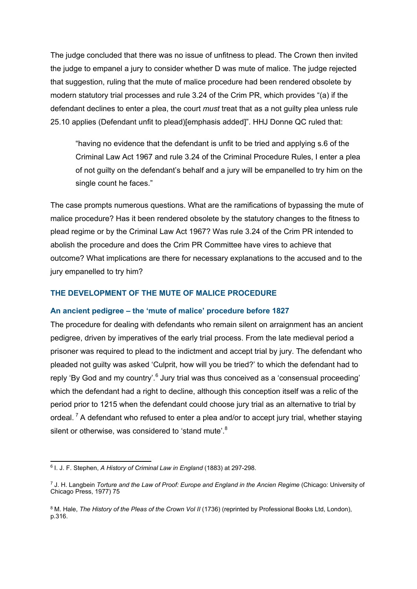The judge concluded that there was no issue of unfitness to plead. The Crown then invited the judge to empanel a jury to consider whether D was mute of malice. The judge rejected that suggestion, ruling that the mute of malice procedure had been rendered obsolete by modern statutory trial processes and rule 3.24 of the Crim PR, which provides "(a) if the defendant declines to enter a plea, the court *must* treat that as a not guilty plea unless rule 25.10 applies (Defendant unfit to plead)[emphasis added]". HHJ Donne QC ruled that:

"having no evidence that the defendant is unfit to be tried and applying s.6 of the Criminal Law Act 1967 and rule 3.24 of the Criminal Procedure Rules, I enter a plea of not guilty on the defendant's behalf and a jury will be empanelled to try him on the single count he faces."

The case prompts numerous questions. What are the ramifications of bypassing the mute of malice procedure? Has it been rendered obsolete by the statutory changes to the fitness to plead regime or by the Criminal Law Act 1967? Was rule 3.24 of the Crim PR intended to abolish the procedure and does the Crim PR Committee have vires to achieve that outcome? What implications are there for necessary explanations to the accused and to the jury empanelled to try him?

#### **THE DEVELOPMENT OF THE MUTE OF MALICE PROCEDURE**

#### **An ancient pedigree – the 'mute of malice' procedure before 1827**

The procedure for dealing with defendants who remain silent on arraignment has an ancient pedigree, driven by imperatives of the early trial process. From the late medieval period a prisoner was required to plead to the indictment and accept trial by jury. The defendant who pleaded not guilty was asked 'Culprit, how will you be tried?' to which the defendant had to reply 'By God and my country'.<sup>6</sup> Jury trial was thus conceived as a 'consensual proceeding' which the defendant had a right to decline, although this conception itself was a relic of the period prior to 1215 when the defendant could choose jury trial as an alternative to trial by ordeal.  $^7$  A defendant who refused to enter a plea and/or to accept jury trial, whether staying silent or otherwise, was considered to 'stand mute'.<sup>8</sup>

<sup>6</sup> I. J. F. Stephen, *A History of Criminal Law in England* (1883) at 297-298.

<sup>7</sup> J. H. Langbein *Torture and the Law of Proof: Europe and England in the Ancien Regime* (Chicago: University of Chicago Press, 1977) 75

<sup>8</sup> M. Hale, *The History of the Pleas of the Crown Vol II* (1736) (reprinted by Professional Books Ltd, London), p.316.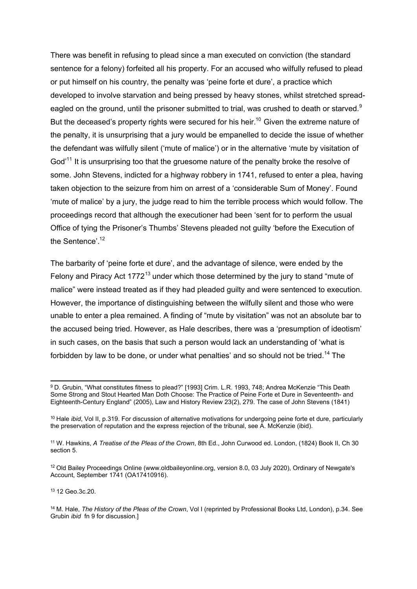There was benefit in refusing to plead since a man executed on conviction (the standard sentence for a felony) forfeited all his property. For an accused who wilfully refused to plead or put himself on his country, the penalty was 'peine forte et dure', a practice which developed to involve starvation and being pressed by heavy stones, whilst stretched spreadeagled on the ground, until the prisoner submitted to trial, was crushed to death or starved.<sup>9</sup> But the deceased's property rights were secured for his heir.<sup>10</sup> Given the extreme nature of the penalty, it is unsurprising that a jury would be empanelled to decide the issue of whether the defendant was wilfully silent ('mute of malice') or in the alternative 'mute by visitation of God<sup>'11</sup> It is unsurprising too that the gruesome nature of the penalty broke the resolve of some. John Stevens, indicted for a highway robbery in 1741, refused to enter a plea, having taken objection to the seizure from him on arrest of a 'considerable Sum of Money'. Found 'mute of malice' by a jury, the judge read to him the terrible process which would follow. The proceedings record that although the executioner had been 'sent for to perform the usual Office of tying the Prisoner's Thumbs' Stevens pleaded not guilty 'before the Execution of the Sentence'.<sup>12</sup>

The barbarity of 'peine forte et dure', and the advantage of silence, were ended by the Felony and Piracy Act 1772<sup>13</sup> under which those determined by the jury to stand "mute of malice" were instead treated as if they had pleaded guilty and were sentenced to execution. However, the importance of distinguishing between the wilfully silent and those who were unable to enter a plea remained. A finding of "mute by visitation" was not an absolute bar to the accused being tried. However, as Hale describes, there was a 'presumption of ideotism' in such cases, on the basis that such a person would lack an understanding of 'what is forbidden by law to be done, or under what penalties' and so should not be tried.<sup>14</sup> The

<sup>13</sup> 12 Geo.3c.20.

<sup>9</sup> D. Grubin, "What constitutes fitness to plead?" [1993] Crim. L.R. 1993, 748; Andrea McKenzie "This Death Some Strong and Stout Hearted Man Doth Choose: The Practice of Peine Forte et Dure in Seventeenth- and Eighteenth-Century England" (2005), Law and History Review 23(2), 279. The case of John Stevens (1841)

<sup>10</sup> Hale *ibid*, Vol II, p.319. For discussion of alternative motivations for undergoing peine forte et dure, particularly the preservation of reputation and the express rejection of the tribunal, see A. McKenzie (ibid).

<sup>11</sup> W. Hawkins, *A Treatise of the Pleas of the Crown*, 8th Ed., John Curwood ed. London, (1824) Book II, Ch 30 section 5.

<sup>&</sup>lt;sup>12</sup> Old Bailey Proceedings Online (www.oldbaileyonline.org, version 8.0, 03 July 2020), Ordinary of Newgate's Account, September 1741 (OA17410916).

<sup>14</sup> M. Hale, *The History of the Pleas of the Crown*, Vol I (reprinted by Professional Books Ltd, London), p.34. See Grubin *ibid* fn 9 for discussion.]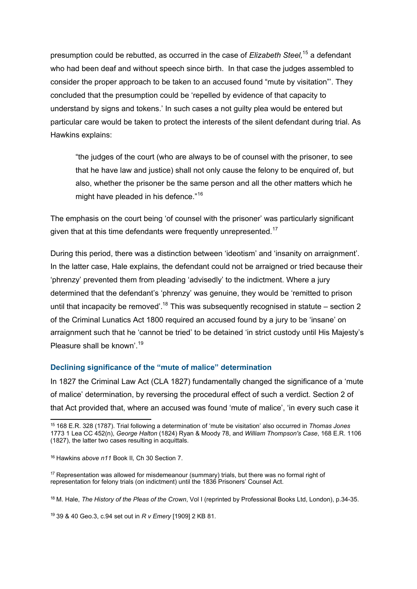presumption could be rebutted, as occurred in the case of *Elizabeth Steel,* <sup>15</sup> a defendant who had been deaf and without speech since birth. In that case the judges assembled to consider the proper approach to be taken to an accused found "mute by visitation"'. They concluded that the presumption could be 'repelled by evidence of that capacity to understand by signs and tokens.' In such cases a not guilty plea would be entered but particular care would be taken to protect the interests of the silent defendant during trial. As Hawkins explains:

"the judges of the court (who are always to be of counsel with the prisoner, to see that he have law and justice) shall not only cause the felony to be enquired of, but also, whether the prisoner be the same person and all the other matters which he might have pleaded in his defence."<sup>16</sup>

The emphasis on the court being 'of counsel with the prisoner' was particularly significant given that at this time defendants were frequently unrepresented.<sup>17</sup>

During this period, there was a distinction between 'ideotism' and 'insanity on arraignment'. In the latter case, Hale explains, the defendant could not be arraigned or tried because their 'phrenzy' prevented them from pleading 'advisedly' to the indictment. Where a jury determined that the defendant's 'phrenzy' was genuine, they would be 'remitted to prison until that incapacity be removed'.<sup>18</sup> This was subsequently recognised in statute – section 2 of the Criminal Lunatics Act 1800 required an accused found by a jury to be 'insane' on arraignment such that he 'cannot be tried' to be detained 'in strict custody until His Majesty's Pleasure shall be known'.<sup>19</sup>

#### **Declining significance of the "mute of malice" determination**

In 1827 the Criminal Law Act (CLA 1827) fundamentally changed the significance of a 'mute of malice' determination, by reversing the procedural effect of such a verdict. Section 2 of that Act provided that, where an accused was found 'mute of malice', 'in every such case it

<sup>15</sup> 168 E.R. 328 (1787). Trial following a determination of 'mute be visitation' also occurred in *Thomas Jones* 1773 1 Lea CC 452(n), *George Halton* (1824) Ryan & Moody 78, and *William Thompson's Case*, 168 E.R. 1106 (1827), the latter two cases resulting in acquittals.

<sup>16</sup> Hawkins *above n11* Book II*,* Ch 30 Section 7.

<sup>17</sup> Representation was allowed for misdemeanour (summary) trials, but there was no formal right of representation for felony trials (on indictment) until the 1836 Prisoners' Counsel Act.

<sup>18</sup> M. Hale, *The History of the Pleas of the Crown*, Vol I (reprinted by Professional Books Ltd, London), p.34-35.

<sup>19</sup> 39 & 40 Geo.3, c.94 set out in *R v Emery* [1909] 2 KB 81.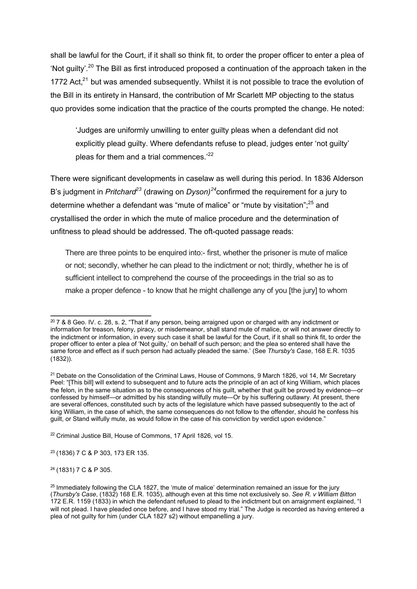shall be lawful for the Court, if it shall so think fit, to order the proper officer to enter a plea of 'Not guilty'.<sup>20</sup> The Bill as first introduced proposed a continuation of the approach taken in the 1772 Act, $^{21}$  but was amended subsequently. Whilst it is not possible to trace the evolution of the Bill in its entirety in Hansard, the contribution of Mr Scarlett MP objecting to the status quo provides some indication that the practice of the courts prompted the change. He noted:

'Judges are uniformly unwilling to enter guilty pleas when a defendant did not explicitly plead guilty. Where defendants refuse to plead, judges enter 'not guilty' pleas for them and a trial commences.<sup>'22</sup>

There were significant developments in caselaw as well during this period. In 1836 Alderson B's judgment in *Pritchard<sup>23</sup>* (drawing on *Dyson)*<sup>24</sup>confirmed the requirement for a jury to determine whether a defendant was "mute of malice" or "mute by visitation";<sup>25</sup> and crystallised the order in which the mute of malice procedure and the determination of unfitness to plead should be addressed. The oft-quoted passage reads:

There are three points to be enquired into:- first, whether the prisoner is mute of malice or not; secondly, whether he can plead to the indictment or not; thirdly, whether he is of sufficient intellect to comprehend the course of the proceedings in the trial so as to make a proper defence - to know that he might challenge any of you [the jury] to whom

<sup>23</sup> (1836) 7 C & P 303, 173 ER 135.

<sup>24</sup> (1831) 7 C & P 305.

<sup>&</sup>lt;sup>20</sup> 7 & 8 Geo. IV. c. 28, s. 2, "That if any person, being arraigned upon or charged with any indictment or information for treason, felony, piracy, or misdemeanor, shall stand mute of malice, or will not answer directly to the indictment or information, in every such case it shall be lawful for the Court, if it shall so think fit, to order the proper officer to enter a plea of 'Not guilty,' on behalf of such person; and the plea so entered shall have the same force and effect as if such person had actually pleaded the same.' (See *Thursby's Case*, 168 E.R. 1035 (1832)).

<sup>&</sup>lt;sup>21</sup> Debate on the Consolidation of the Criminal Laws, House of Commons, 9 March 1826, vol 14, Mr Secretary Peel: "[This bill] will extend to subsequent and to future acts the principle of an act of king William, which places the felon, in the same situation as to the consequences of his guilt, whether that guilt be proved by evidence—or confessed by himself—or admitted by his standing wilfully mute—Or by his suffering outlawry. At present, there are several offences, constituted such by acts of the legislature which have passed subsequently to the act of king William, in the case of which, the same consequences do not follow to the offender, should he confess his guilt, or Stand wilfully mute, as would follow in the case of his conviction by verdict upon evidence."

<sup>22</sup> Criminal Justice Bill, House of Commons, 17 April 1826, vol 15.

 $25$  Immediately following the CLA 1827, the 'mute of malice' determination remained an issue for the jury (*Thursby's Case*, (1832) 168 E.R. 1035), although even at this time not exclusively so. *See R. v William Bitton* 172 E.R. 1159 (1833) in which the defendant refused to plead to the indictment but on arraignment explained, "I will not plead. I have pleaded once before, and I have stood my trial." The Judge is recorded as having entered a plea of not guilty for him (under CLA 1827 s2) without empanelling a jury.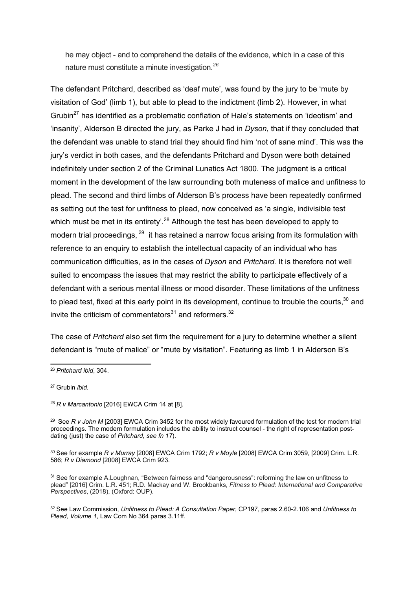he may object - and to comprehend the details of the evidence, which in a case of this nature must constitute a minute investigation.*<sup>26</sup>*

The defendant Pritchard, described as 'deaf mute', was found by the jury to be 'mute by visitation of God' (limb 1), but able to plead to the indictment (limb 2). However, in what Grubin<sup>27</sup> has identified as a problematic conflation of Hale's statements on 'ideotism' and 'insanity', Alderson B directed the jury, as Parke J had in *Dyson*, that if they concluded that the defendant was unable to stand trial they should find him 'not of sane mind'. This was the jury's verdict in both cases, and the defendants Pritchard and Dyson were both detained indefinitely under section 2 of the Criminal Lunatics Act 1800. The judgment is a critical moment in the development of the law surrounding both muteness of malice and unfitness to plead. The second and third limbs of Alderson B's process have been repeatedly confirmed as setting out the test for unfitness to plead, now conceived as 'a single, indivisible test which must be met in its entirety'.<sup>28</sup> Although the test has been developed to apply to modern trial proceedings, <sup>29</sup> it has retained a narrow focus arising from its formulation with reference to an enquiry to establish the intellectual capacity of an individual who has communication difficulties, as in the cases of *Dyson* and *Pritchard.* It is therefore not well suited to encompass the issues that may restrict the ability to participate effectively of a defendant with a serious mental illness or mood disorder. These limitations of the unfitness to plead test, fixed at this early point in its development, continue to trouble the courts,<sup>30</sup> and invite the criticism of commentators $31$  and reformers.<sup>32</sup>

The case of *Pritchard* also set firm the requirement for a jury to determine whether a silent defendant is "mute of malice" or "mute by visitation". Featuring as limb 1 in Alderson B's

<sup>27</sup> Grubin *ibid*.

<sup>26</sup> *Pritchard ibid*, 304.

<sup>28</sup> *R v Marcantonio* [2016] EWCA Crim 14 at [8].

<sup>&</sup>lt;sup>29</sup> See R v John M [2003] EWCA Crim 3452 for the most widely favoured formulation of the test for modern trial proceedings. The modern formulation includes the ability to instruct counsel - the right of representation postdating (just) the case of *Pritchard, see fn 17*).

<sup>30</sup> See for example *R v Murray* [2008] EWCA Crim 1792; *R v Moyle* [2008] EWCA Crim 3059, [2009] Crim. L.R. 586; *R v Diamond* [2008] EWCA Crim 923.

<sup>&</sup>lt;sup>31</sup> See for example A.Loughnan, "Between fairness and "dangerousness": reforming the law on unfitness to plead" [2016] Crim. L.R. 451; R.D. Mackay and W. Brookbanks, *Fitness to Plead: International and Comparative Perspectives*, (2018), (Oxford: OUP).

<sup>32</sup> See Law Commission, *Unfitness to Plead: A Consultation Paper*, CP197, paras 2.60-2.106 and *Unfitness to Plead, Volume 1*, Law Com No 364 paras 3.11ff.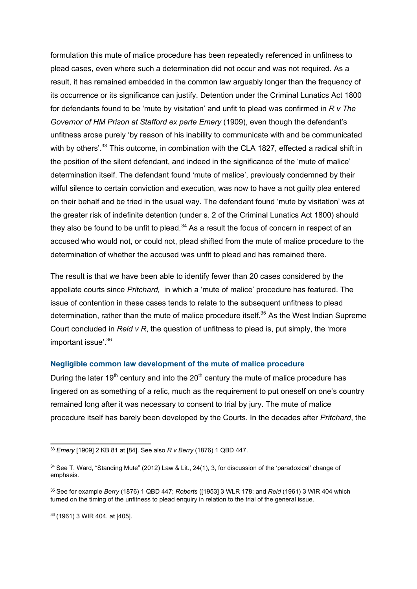formulation this mute of malice procedure has been repeatedly referenced in unfitness to plead cases, even where such a determination did not occur and was not required. As a result, it has remained embedded in the common law arguably longer than the frequency of its occurrence or its significance can justify. Detention under the Criminal Lunatics Act 1800 for defendants found to be 'mute by visitation' and unfit to plead was confirmed in *R v The Governor of HM Prison at Stafford ex parte Emery* (1909), even though the defendant's unfitness arose purely 'by reason of his inability to communicate with and be communicated with by others'.<sup>33</sup> This outcome, in combination with the CLA 1827, effected a radical shift in the position of the silent defendant, and indeed in the significance of the 'mute of malice' determination itself. The defendant found 'mute of malice', previously condemned by their wilful silence to certain conviction and execution, was now to have a not guilty plea entered on their behalf and be tried in the usual way. The defendant found 'mute by visitation' was at the greater risk of indefinite detention (under s. 2 of the Criminal Lunatics Act 1800) should they also be found to be unfit to plead. $34$  As a result the focus of concern in respect of an accused who would not, or could not, plead shifted from the mute of malice procedure to the determination of whether the accused was unfit to plead and has remained there.

The result is that we have been able to identify fewer than 20 cases considered by the appellate courts since *Pritchard,* in which a 'mute of malice' procedure has featured. The issue of contention in these cases tends to relate to the subsequent unfitness to plead determination, rather than the mute of malice procedure itself.<sup>35</sup> As the West Indian Supreme Court concluded in *Reid v R*, the question of unfitness to plead is, put simply, the 'more important issue'.36

#### **Negligible common law development of the mute of malice procedure**

During the later 19<sup>th</sup> century and into the  $20<sup>th</sup>$  century the mute of malice procedure has lingered on as something of a relic, much as the requirement to put oneself on one's country remained long after it was necessary to consent to trial by jury. The mute of malice procedure itself has barely been developed by the Courts. In the decades after *Pritchard*, the

<sup>36</sup> (1961) 3 WIR 404, at [405].

<sup>33</sup> *Emery* [1909] 2 KB 81 at [84]. See also *R v Berry* (1876) 1 QBD 447.

<sup>34</sup> See T. Ward, "Standing Mute" (2012) Law & Lit., 24(1), 3, for discussion of the 'paradoxical' change of emphasis.

<sup>35</sup> See for example *Berry* (1876) 1 QBD 447; *Roberts* ([1953] 3 WLR 178; and *Reid* (1961) 3 WIR 404 which turned on the timing of the unfitness to plead enquiry in relation to the trial of the general issue.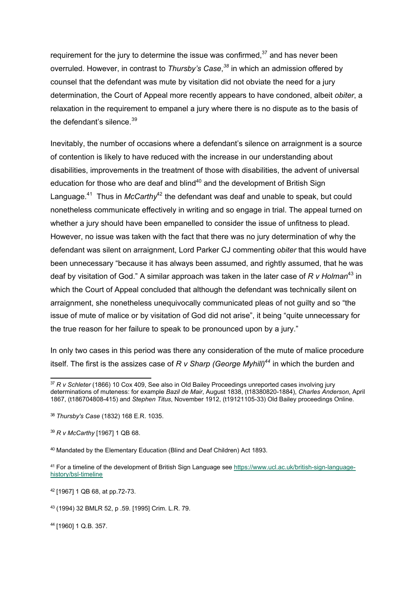requirement for the jury to determine the issue was confirmed, $37$  and has never been overruled. However, in contrast to *Thursby's Case*, *<sup>38</sup>* in which an admission offered by counsel that the defendant was mute by visitation did not obviate the need for a jury determination, the Court of Appeal more recently appears to have condoned, albeit *obiter*, a relaxation in the requirement to empanel a jury where there is no dispute as to the basis of the defendant's silence.  $39$ 

Inevitably, the number of occasions where a defendant's silence on arraignment is a source of contention is likely to have reduced with the increase in our understanding about disabilities, improvements in the treatment of those with disabilities, the advent of universal education for those who are deaf and blind<sup>40</sup> and the development of British Sign Language.<sup>41</sup> Thus in *McCarthy*<sup>42</sup> the defendant was deaf and unable to speak, but could nonetheless communicate effectively in writing and so engage in trial. The appeal turned on whether a jury should have been empanelled to consider the issue of unfitness to plead. However, no issue was taken with the fact that there was no jury determination of why the defendant was silent on arraignment, Lord Parker CJ commenting *obiter* that this would have been unnecessary "because it has always been assumed, and rightly assumed, that he was deaf by visitation of God." A similar approach was taken in the later case of *R v Holman*<sup>43</sup> in which the Court of Appeal concluded that although the defendant was technically silent on arraignment, she nonetheless unequivocally communicated pleas of not guilty and so "the issue of mute of malice or by visitation of God did not arise", it being "quite unnecessary for the true reason for her failure to speak to be pronounced upon by a jury."

In only two cases in this period was there any consideration of the mute of malice procedure itself. The first is the assizes case of *R v Sharp (George Myhill)<sup>44</sup>* in which the burden and

<sup>42</sup> [1967] 1 QB 68, at pp.72-73.

<sup>44</sup> [1960] 1 Q.B. 357.

<sup>37</sup> *R v Schleter* (1866) 10 Cox 409, See also in Old Bailey Proceedings unreported cases involving jury determinations of muteness: for example *Bazil de Mair*, August 1838, (t18380820-1884), *Charles Anderson*, April 1867, (t186704808-415) and *Stephen Titus*, November 1912, (t19121105-33) Old Bailey proceedings Online.

<sup>38</sup> *Thursby's Case* (1832) 168 E.R. 1035.

<sup>39</sup> *R v McCarthy* [1967] 1 QB 68.

<sup>40</sup> Mandated by the Elementary Education (Blind and Deaf Children) Act 1893.

<sup>41</sup> For a timeline of the development of British Sign Language see https://www.ucl.ac.uk/british-sign-languagehistory/bsl-timeline

<sup>43</sup> (1994) 32 BMLR 52, p .59. [1995] Crim. L.R. 79.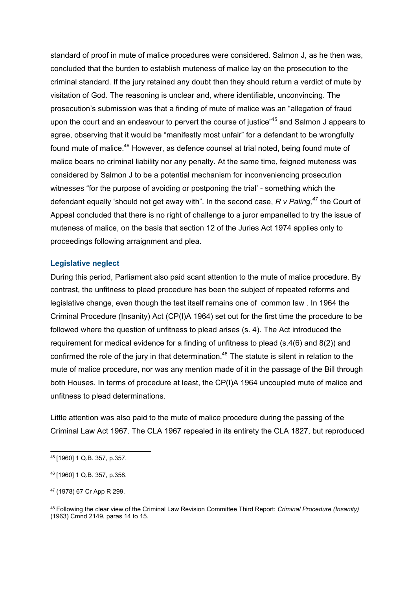standard of proof in mute of malice procedures were considered. Salmon J, as he then was, concluded that the burden to establish muteness of malice lay on the prosecution to the criminal standard. If the jury retained any doubt then they should return a verdict of mute by visitation of God. The reasoning is unclear and, where identifiable, unconvincing. The prosecution's submission was that a finding of mute of malice was an "allegation of fraud upon the court and an endeavour to pervert the course of justice<sup>"45</sup> and Salmon J appears to agree, observing that it would be "manifestly most unfair" for a defendant to be wrongfully found mute of malice.<sup>46</sup> However, as defence counsel at trial noted, being found mute of malice bears no criminal liability nor any penalty. At the same time, feigned muteness was considered by Salmon J to be a potential mechanism for inconveniencing prosecution witnesses "for the purpose of avoiding or postponing the trial' - something which the defendant equally 'should not get away with". In the second case, *R v Paling, <sup>47</sup>* the Court of Appeal concluded that there is no right of challenge to a juror empanelled to try the issue of muteness of malice, on the basis that section 12 of the Juries Act 1974 applies only to proceedings following arraignment and plea.

#### **Legislative neglect**

During this period, Parliament also paid scant attention to the mute of malice procedure. By contrast, the unfitness to plead procedure has been the subject of repeated reforms and legislative change, even though the test itself remains one of common law . In 1964 the Criminal Procedure (Insanity) Act (CP(I)A 1964) set out for the first time the procedure to be followed where the question of unfitness to plead arises (s. 4). The Act introduced the requirement for medical evidence for a finding of unfitness to plead (s.4(6) and 8(2)) and confirmed the role of the jury in that determination.<sup>48</sup> The statute is silent in relation to the mute of malice procedure, nor was any mention made of it in the passage of the Bill through both Houses. In terms of procedure at least, the CP(I)A 1964 uncoupled mute of malice and unfitness to plead determinations.

Little attention was also paid to the mute of malice procedure during the passing of the Criminal Law Act 1967. The CLA 1967 repealed in its entirety the CLA 1827, but reproduced

<sup>45</sup> [1960] 1 Q.B. 357, p.357.

<sup>46</sup> [1960] 1 Q.B. 357, p.358.

<sup>47</sup> (1978) 67 Cr App R 299.

<sup>48</sup> Following the clear view of the Criminal Law Revision Committee Third Report: *Criminal Procedure (Insanity)* (1963) Cmnd 2149, paras 14 to 15.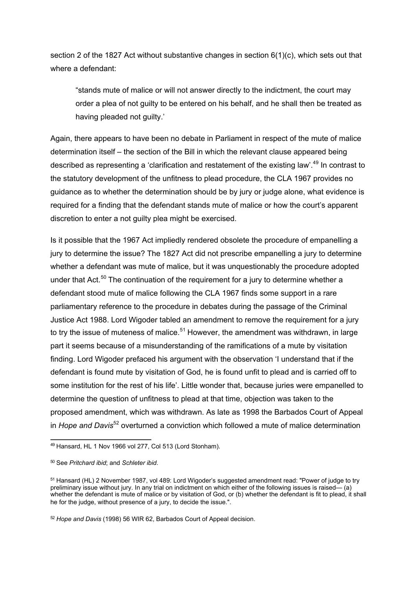section 2 of the 1827 Act without substantive changes in section 6(1)(c), which sets out that where a defendant:

"stands mute of malice or will not answer directly to the indictment, the court may order a plea of not guilty to be entered on his behalf, and he shall then be treated as having pleaded not guilty.'

Again, there appears to have been no debate in Parliament in respect of the mute of malice determination itself – the section of the Bill in which the relevant clause appeared being described as representing a 'clarification and restatement of the existing law'.<sup>49</sup> In contrast to the statutory development of the unfitness to plead procedure, the CLA 1967 provides no guidance as to whether the determination should be by jury or judge alone, what evidence is required for a finding that the defendant stands mute of malice or how the court's apparent discretion to enter a not guilty plea might be exercised.

Is it possible that the 1967 Act impliedly rendered obsolete the procedure of empanelling a jury to determine the issue? The 1827 Act did not prescribe empanelling a jury to determine whether a defendant was mute of malice, but it was unquestionably the procedure adopted under that Act.<sup>50</sup> The continuation of the requirement for a jury to determine whether a defendant stood mute of malice following the CLA 1967 finds some support in a rare parliamentary reference to the procedure in debates during the passage of the Criminal Justice Act 1988. Lord Wigoder tabled an amendment to remove the requirement for a jury to try the issue of muteness of malice.<sup>51</sup> However, the amendment was withdrawn, in large part it seems because of a misunderstanding of the ramifications of a mute by visitation finding. Lord Wigoder prefaced his argument with the observation 'I understand that if the defendant is found mute by visitation of God, he is found unfit to plead and is carried off to some institution for the rest of his life'. Little wonder that, because juries were empanelled to determine the question of unfitness to plead at that time, objection was taken to the proposed amendment, which was withdrawn. As late as 1998 the Barbados Court of Appeal in *Hope and Davis*<sup>52</sup> overturned a conviction which followed a mute of malice determination

<sup>49</sup> Hansard, HL 1 Nov 1966 vol 277, Col 513 (Lord Stonham).

<sup>50</sup> See *Pritchard ibid*; and *Schleter ibid*.

<sup>51</sup> Hansard (HL) 2 November 1987, vol 489: Lord Wigoder's suggested amendment read: "Power of judge to try preliminary issue without jury. In any trial on indictment on which either of the following issues is raised— (a) whether the defendant is mute of malice or by visitation of God, or (b) whether the defendant is fit to plead, it shall he for the judge, without presence of a jury, to decide the issue.".

<sup>52</sup> *Hope and Davis* (1998) 56 WIR 62, Barbados Court of Appeal decision.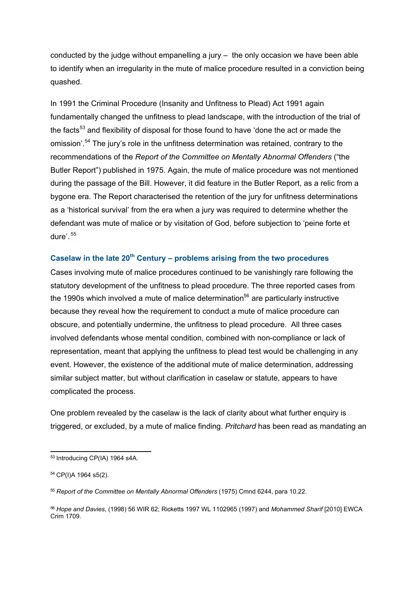conducted by the judge without empanelling a jury – the only occasion we have been able to identify when an irregularity in the mute of malice procedure resulted in a conviction being quashed.

In 1991 the Criminal Procedure (Insanity and Unfitness to Plead) Act 1991 again fundamentally changed the unfitness to plead landscape, with the introduction of the trial of the facts<sup>53</sup> and flexibility of disposal for those found to have 'done the act or made the omission'.<sup>54</sup> The jury's role in the unfitness determination was retained, contrary to the recommendations of the *Report of the Committee on Mentally Abnormal Offenders* ("the Butler Report") published in 1975. Again, the mute of malice procedure was not mentioned during the passage of the Bill. However, it did feature in the Butler Report, as a relic from a bygone era. The Report characterised the retention of the jury for unfitness determinations as a 'historical survival' from the era when a jury was required to determine whether the defendant was mute of malice or by visitation of God, before subjection to 'peine forte et dure'. <sup>55</sup>

# **Caselaw in the late 20th Century – problems arising from the two procedures**

Cases involving mute of malice procedures continued to be vanishingly rare following the statutory development of the unfitness to plead procedure. The three reported cases from the 1990s which involved a mute of malice determination<sup>56</sup> are particularly instructive because they reveal how the requirement to conduct a mute of malice procedure can obscure, and potentially undermine, the unfitness to plead procedure. All three cases involved defendants whose mental condition, combined with non-compliance or lack of representation, meant that applying the unfitness to plead test would be challenging in any event. However, the existence of the additional mute of malice determination, addressing similar subject matter, but without clarification in caselaw or statute, appears to have complicated the process.

One problem revealed by the caselaw is the lack of clarity about what further enquiry is triggered, or excluded, by a mute of malice finding. *Pritchard* has been read as mandating an

<sup>53</sup> Introducing CP(IA) 1964 s4A.

<sup>54</sup> CP(I)A 1964 s5(2).

<sup>55</sup> *Report of the Committee on Mentally Abnormal Offenders* (1975) Cmnd 6244, para 10.22.

<sup>56</sup> *Hope and Davies*, (1998) 56 WIR 62; Ricketts 1997 WL 1102965 (1997) and *Mohammed Sharif* [2010] EWCA Crim 1709.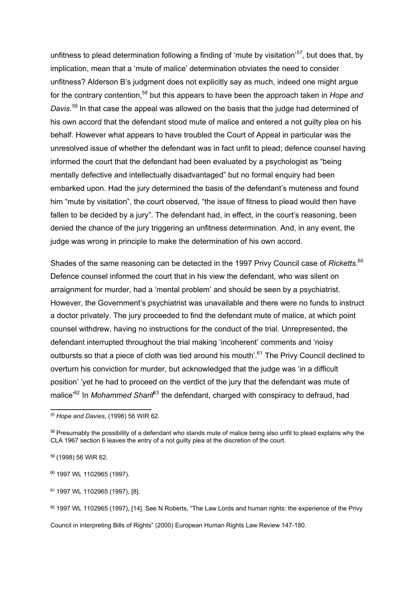unfitness to plead determination following a finding of 'mute by visitation'<sup>57</sup>, but does that, by implication, mean that a 'mute of malice' determination obviates the need to consider unfitness? Alderson B's judgment does not explicitly say as much, indeed one might argue for the contrary contention,<sup>58</sup> but this appears to have been the approach taken in *Hope and Davis.* <sup>59</sup> In that case the appeal was allowed on the basis that the judge had determined of his own accord that the defendant stood mute of malice and entered a not guilty plea on his behalf. However what appears to have troubled the Court of Appeal in particular was the unresolved issue of whether the defendant was in fact unfit to plead; defence counsel having informed the court that the defendant had been evaluated by a psychologist as "being mentally defective and intellectually disadvantaged" but no formal enquiry had been embarked upon. Had the jury determined the basis of the defendant's muteness and found him "mute by visitation", the court observed, "the issue of fitness to plead would then have fallen to be decided by a jury". The defendant had, in effect, in the court's reasoning, been denied the chance of the jury triggering an unfitness determination. And, in any event, the judge was wrong in principle to make the determination of his own accord.

Shades of the same reasoning can be detected in the 1997 Privy Council case of *Ricketts*.<sup>60</sup> Defence counsel informed the court that in his view the defendant, who was silent on arraignment for murder, had a 'mental problem' and should be seen by a psychiatrist. However, the Government's psychiatrist was unavailable and there were no funds to instruct a doctor privately. The jury proceeded to find the defendant mute of malice, at which point counsel withdrew, having no instructions for the conduct of the trial. Unrepresented, the defendant interrupted throughout the trial making 'incoherent' comments and 'noisy outbursts so that a piece of cloth was tied around his mouth'.<sup>61</sup> The Privy Council declined to overturn his conviction for murder, but acknowledged that the judge was 'in a difficult position' 'yet he had to proceed on the verdict of the jury that the defendant was mute of malice<sup>'62</sup> In *Mohammed Sharif*<sup>63</sup> the defendant, charged with conspiracy to defraud, had

Council in interpreting Bills of Rights" (2000) European Human Rights Law Review 147-180.

<sup>57</sup> *Hope and Davies*, (1998) 56 WIR 62.

<sup>58</sup> Presumably the possibility of a defendant who stands mute of malice being also unfit to plead explains why the CLA 1967 section 6 leaves the entry of a not guilty plea at the discretion of the court.

<sup>59</sup> (1998) 56 WIR 62.

<sup>60</sup> 1997 WL 1102965 (1997).

<sup>61</sup> 1997 WL 1102965 (1997), [8].

<sup>62 1997</sup> WL 1102965 (1997), [14]. See N Roberts, "The Law Lords and human rights: the experience of the Privy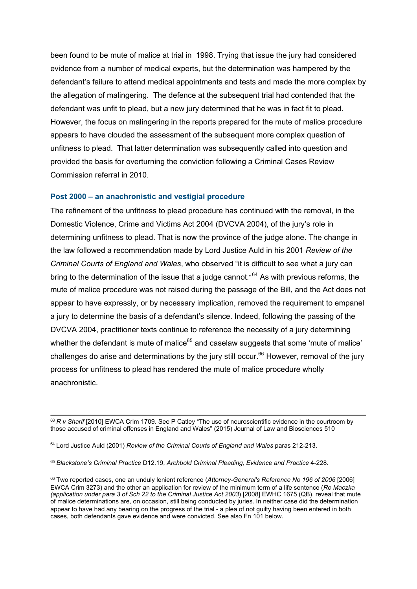been found to be mute of malice at trial in 1998. Trying that issue the jury had considered evidence from a number of medical experts, but the determination was hampered by the defendant's failure to attend medical appointments and tests and made the more complex by the allegation of malingering. The defence at the subsequent trial had contended that the defendant was unfit to plead, but a new jury determined that he was in fact fit to plead. However, the focus on malingering in the reports prepared for the mute of malice procedure appears to have clouded the assessment of the subsequent more complex question of unfitness to plead. That latter determination was subsequently called into question and provided the basis for overturning the conviction following a Criminal Cases Review Commission referral in 2010.

#### **Post 2000 – an anachronistic and vestigial procedure**

The refinement of the unfitness to plead procedure has continued with the removal, in the Domestic Violence, Crime and Victims Act 2004 (DVCVA 2004), of the jury's role in determining unfitness to plead. That is now the province of the judge alone. The change in the law followed a recommendation made by Lord Justice Auld in his 2001 *Review of the Criminal Courts of England and Wales*, who observed "it is difficult to see what a jury can bring to the determination of the issue that a judge cannot."<sup>64</sup> As with previous reforms, the mute of malice procedure was not raised during the passage of the Bill, and the Act does not appear to have expressly, or by necessary implication, removed the requirement to empanel a jury to determine the basis of a defendant's silence. Indeed, following the passing of the DVCVA 2004, practitioner texts continue to reference the necessity of a jury determining whether the defendant is mute of malice<sup>65</sup> and caselaw suggests that some 'mute of malice' challenges do arise and determinations by the jury still occur.<sup>66</sup> However, removal of the jury process for unfitness to plead has rendered the mute of malice procedure wholly anachronistic.

<sup>&</sup>lt;sup>63</sup> R v Sharif [2010] EWCA Crim 1709. See P Catley "The use of neuroscientific evidence in the courtroom by those accused of criminal offenses in England and Wales" (2015) Journal of Law and Biosciences 510

<sup>64</sup> Lord Justice Auld (2001) *Review of the Criminal Courts of England and Wales* paras 212-213.

<sup>65</sup> *Blackstone's Criminal Practice* D12.19, *Archbold Criminal Pleading, Evidence and Practice* 4-228.

<sup>66</sup> Two reported cases, one an unduly lenient reference (*Attorney-General's Reference No 196 of 2006* [2006] EWCA Crim 3273) and the other an application for review of the minimum term of a life sentence (*Re Maczka (application under para 3 of Sch 22 to the Criminal Justice Act 2003*) [2008] EWHC 1675 (QB), reveal that mute of malice determinations are, on occasion, still being conducted by juries. In neither case did the determination appear to have had any bearing on the progress of the trial - a plea of not guilty having been entered in both cases, both defendants gave evidence and were convicted. See also Fn 101 below.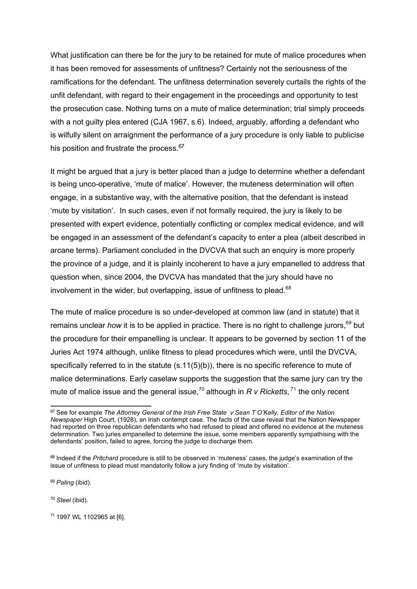What justification can there be for the jury to be retained for mute of malice procedures when it has been removed for assessments of unfitness? Certainly not the seriousness of the ramifications for the defendant. The unfitness determination severely curtails the rights of the unfit defendant, with regard to their engagement in the proceedings and opportunity to test the prosecution case. Nothing turns on a mute of malice determination; trial simply proceeds with a not guilty plea entered (CJA 1967, s.6). Indeed, arguably, affording a defendant who is wilfully silent on arraignment the performance of a jury procedure is only liable to publicise his position and frustrate the process.<sup>67</sup>

It might be argued that a jury is better placed than a judge to determine whether a defendant is being unco-operative, 'mute of malice'. However, the muteness determination will often engage, in a substantive way, with the alternative position, that the defendant is instead 'mute by visitation'. In such cases, even if not formally required, the jury is likely to be presented with expert evidence, potentially conflicting or complex medical evidence, and will be engaged in an assessment of the defendant's capacity to enter a plea (albeit described in arcane terms). Parliament concluded in the DVCVA that such an enquiry is more properly the province of a judge, and it is plainly incoherent to have a jury empanelled to address that question when, since 2004, the DVCVA has mandated that the jury should have no involvement in the wider, but overlapping, issue of unfitness to plead.<sup>68</sup>

The mute of malice procedure is so under-developed at common law (and in statute) that it remains unclear *how* it is to be applied in practice. There is no right to challenge jurors, <sup>69</sup> but the procedure for their empanelling is unclear. It appears to be governed by section 11 of the Juries Act 1974 although, unlike fitness to plead procedures which were, until the DVCVA, specifically referred to in the statute (s.11(5)(b)), there is no specific reference to mute of malice determinations. Early caselaw supports the suggestion that the same jury can try the mute of malice issue and the general issue,<sup>70</sup> although in  $R$   $\nu$  *Ricketts*,<sup>71</sup> the only recent

<sup>69</sup> *Paling* (ibid).

<sup>70</sup> *Steel* (ibid).

<sup>71</sup> 1997 WL 1102965 at [6].

<sup>67</sup> See for example *The Attorney General of the Irish Free State v Sean T O'Kelly, Editor of the Nation Newspaper* High Court, (1928), an Irish contempt case. The facts of the case reveal that the Nation Newspaper had reported on three republican defendants who had refused to plead and offered no evidence at the muteness determination. Two juries empanelled to determine the issue, some members apparently sympathising with the defendants' position, failed to agree, forcing the judge to discharge them.

<sup>68</sup> Indeed if the *Pritchard* procedure is still to be observed in 'muteness' cases, the judge's examination of the issue of unfitness to plead must mandatorily follow a jury finding of 'mute by visitation'.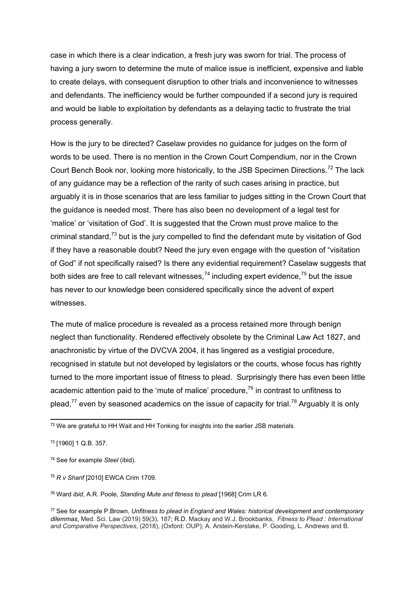case in which there is a clear indication, a fresh jury was sworn for trial. The process of having a jury sworn to determine the mute of malice issue is inefficient, expensive and liable to create delays, with consequent disruption to other trials and inconvenience to witnesses and defendants. The inefficiency would be further compounded if a second jury is required and would be liable to exploitation by defendants as a delaying tactic to frustrate the trial process generally.

How is the jury to be directed? Caselaw provides no guidance for judges on the form of words to be used. There is no mention in the Crown Court Compendium, nor in the Crown Court Bench Book nor, looking more historically, to the JSB Specimen Directions.<sup>72</sup> The lack of any guidance may be a reflection of the rarity of such cases arising in practice, but arguably it is in those scenarios that are less familiar to judges sitting in the Crown Court that the guidance is needed most. There has also been no development of a legal test for 'malice' or 'visitation of God'. It is suggested that the Crown must prove malice to the criminal standard,<sup>73</sup> but is the jury compelled to find the defendant mute by visitation of God if they have a reasonable doubt? Need the jury even engage with the question of "visitation of God" if not specifically raised? Is there any evidential requirement? Caselaw suggests that both sides are free to call relevant witnesses,<sup>74</sup> including expert evidence,<sup>75</sup> but the issue has never to our knowledge been considered specifically since the advent of expert witnesses.

The mute of malice procedure is revealed as a process retained more through benign neglect than functionality. Rendered effectively obsolete by the Criminal Law Act 1827, and anachronistic by virtue of the DVCVA 2004, it has lingered as a vestigial procedure, recognised in statute but not developed by legislators or the courts, whose focus has rightly turned to the more important issue of fitness to plead. Surprisingly there has even been little academic attention paid to the 'mute of malice' procedure, $76$  in contrast to unfitness to plead,<sup>77</sup> even by seasoned academics on the issue of capacity for trial.<sup>78</sup> Arguably it is only

<sup>&</sup>lt;sup>72</sup> We are grateful to HH Wait and HH Tonking for insights into the earlier JSB materials.

<sup>73</sup> [1960] 1 Q.B. 357.

<sup>74</sup> See for example *Steel* (ibid).

<sup>75</sup> *R v Sharif* [2010] EWCA Crim 1709.

<sup>76</sup> Ward *ibid*, A.R. Poole, *Standing Mute and fitness to plead* [1968] Crim LR 6.

<sup>77</sup> See for example P.Brown, *Unfitness to plead in England and Wales: historical development and contemporary dilemmas*, Med. Sci. Law (2019) 59(3), 187; R.D. Mackay and W.J. Brookbanks, *Fitness to Plead : International and Comparative Perspectives*, (2018), (Oxford: OUP); A. Arstein-Kerslake, P. Gooding, L. Andrews and B.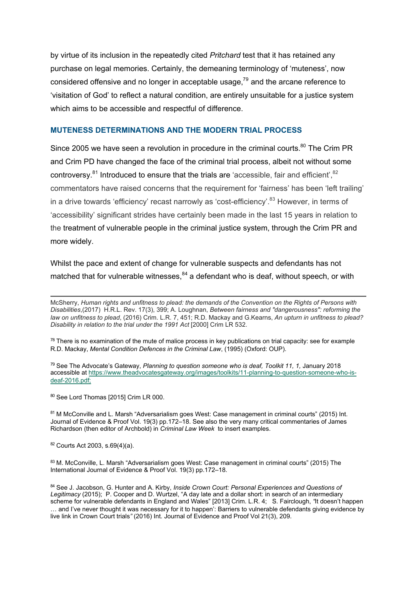by virtue of its inclusion in the repeatedly cited *Pritchard* test that it has retained any purchase on legal memories. Certainly, the demeaning terminology of 'muteness', now considered offensive and no longer in acceptable usage, $79$  and the arcane reference to 'visitation of God' to reflect a natural condition, are entirely unsuitable for a justice system which aims to be accessible and respectful of difference.

#### **MUTENESS DETERMINATIONS AND THE MODERN TRIAL PROCESS**

Since 2005 we have seen a revolution in procedure in the criminal courts.<sup>80</sup> The Crim PR and Crim PD have changed the face of the criminal trial process, albeit not without some controversy.<sup>81</sup> Introduced to ensure that the trials are 'accessible, fair and efficient',<sup>82</sup> commentators have raised concerns that the requirement for 'fairness' has been 'left trailing' in a drive towards 'efficiency' recast narrowly as 'cost-efficiency'.<sup>83</sup> However, in terms of 'accessibility' significant strides have certainly been made in the last 15 years in relation to the treatment of vulnerable people in the criminal justice system, through the Crim PR and more widely.

Whilst the pace and extent of change for vulnerable suspects and defendants has not matched that for vulnerable witnesses,  $84$  a defendant who is deaf, without speech, or with

 $78$  There is no examination of the mute of malice process in key publications on trial capacity: see for example R.D. Mackay, *Mental Condition Defences in the Criminal Law*, (1995) (Oxford: OUP).

<sup>79</sup> See The Advocate's Gateway, *Planning to question someone who is deaf, Toolkit 11, 1,* January 2018 accessible at https://www.theadvocatesgateway.org/images/toolkits/11-planning-to-question-someone-who-isdeaf-2016.pdf;

80 See Lord Thomas [2015] Crim LR 000.

81 M McConville and L. Marsh "Adversarialism goes West: Case management in criminal courts" (2015) Int. Journal of Evidence & Proof Vol. 19(3) pp.172–18. See also the very many critical commentaries of James Richardson (then editor of Archbold) in *Criminal Law Week* to insert examples.

<sup>82</sup> Courts Act 2003, s.69(4)(a).

83 M. McConville, L. Marsh "Adversarialism goes West: Case management in criminal courts" (2015) The International Journal of Evidence & Proof Vol. 19(3) pp.172–18.

McSherry, *Human rights and unfitness to plead: the demands of the Convention on the Rights of Persons with Disabilities*,(2017) H.R.L. Rev. 17(3), 399; A. Loughnan, *Between fairness and "dangerousness": reforming the law on unfitness to plead*, (2016) Crim. L.R. 7, 451; R.D. Mackay and G.Kearns, *An upturn in unfitness to plead? Disability in relation to the trial under the 1991 Act* [2000] Crim LR 532.

<sup>84</sup> See J. Jacobson, G. Hunter and A. Kirby, *Inside Crown Court: Personal Experiences and Questions of Legitimacy* (2015); P. Cooper and D. Wurtzel, "A day late and a dollar short: in search of an intermediary scheme for vulnerable defendants in England and Wales" [2013] Crim. L.R. 4; S. Fairclough, *"*It doesn't happen … and I've never thought it was necessary for it to happen': Barriers to vulnerable defendants giving evidence by live link in Crown Court trials*"* (2016) Int. Journal of Evidence and Proof Vol 21(3), 209.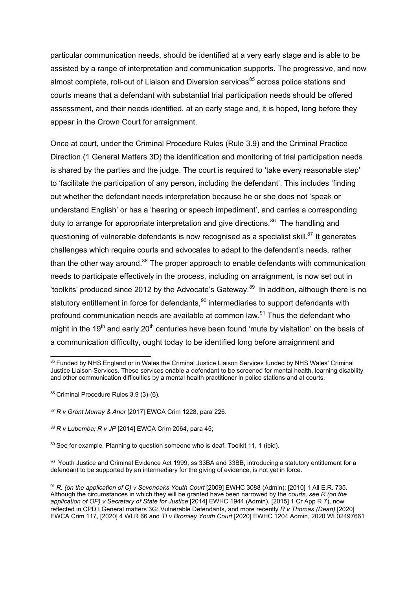particular communication needs, should be identified at a very early stage and is able to be assisted by a range of interpretation and communication supports. The progressive, and now almost complete, roll-out of Liaison and Diversion services<sup>85</sup> across police stations and courts means that a defendant with substantial trial participation needs should be offered assessment, and their needs identified, at an early stage and, it is hoped, long before they appear in the Crown Court for arraignment.

Once at court, under the Criminal Procedure Rules (Rule 3.9) and the Criminal Practice Direction (1 General Matters 3D) the identification and monitoring of trial participation needs is shared by the parties and the judge. The court is required to 'take every reasonable step' to 'facilitate the participation of any person, including the defendant'. This includes 'finding out whether the defendant needs interpretation because he or she does not 'speak or understand English' or has a 'hearing or speech impediment', and carries a corresponding duty to arrange for appropriate interpretation and give directions.<sup>86</sup> The handling and questioning of vulnerable defendants is now recognised as a specialist skill.<sup>87</sup> It generates challenges which require courts and advocates to adapt to the defendant's needs, rather than the other way around. $88$  The proper approach to enable defendants with communication needs to participate effectively in the process, including on arraignment, is now set out in 'toolkits' produced since 2012 by the Advocate's Gateway.<sup>89</sup> In addition, although there is no statutory entitlement in force for defendants,<sup>90</sup> intermediaries to support defendants with profound communication needs are available at common law.<sup>91</sup> Thus the defendant who might in the 19<sup>th</sup> and early 20<sup>th</sup> centuries have been found 'mute by visitation' on the basis of a communication difficulty, ought today to be identified long before arraignment and

<sup>85</sup> Funded by NHS England or in Wales the Criminal Justice Liaison Services funded by NHS Wales' Criminal Justice Liaison Services. These services enable a defendant to be screened for mental health, learning disability and other communication difficulties by a mental health practitioner in police stations and at courts.

<sup>86</sup> Criminal Procedure Rules 3.9 (3)-(6).

<sup>87</sup> *R v Grant Murray & Anor* [2017] EWCA Crim 1228, para 226.

<sup>88</sup> *R v Lubemba; R v JP* [2014] EWCA Crim 2064, para 45;

<sup>89</sup> See for example, Planning to question someone who is deaf, Toolkit 11, 1 (ibid).

<sup>90</sup> Youth Justice and Criminal Evidence Act 1999, ss 33BA and 33BB, introducing a statutory entitlement for a defendant to be supported by an intermediary for the giving of evidence, is not yet in force.

<sup>&</sup>lt;sup>91</sup> R. (on the application of C) v Sevenoaks Youth Court [2009] EWHC 3088 (Admin); [2010] 1 All E.R. 735. Although the circumstances in which they will be granted have been narrowed by the *courts, see R (on the application of OP) v Secretary of State for Justice* [2014] EWHC 1944 (Admin), [2015] 1 Cr App R 7), now reflected in CPD I General matters 3G: Vulnerable Defendants, and more recently *R v Thomas (Dean)* [2020] EWCA Crim 117, [2020] 4 WLR 66 and *TI v Bromley Youth Court* [2020] EWHC 1204 Admin, 2020 WL02497661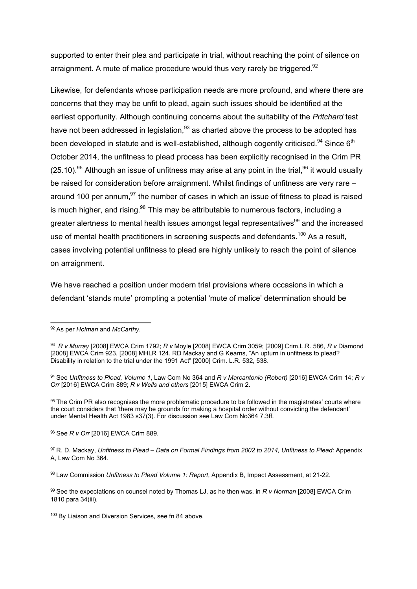supported to enter their plea and participate in trial, without reaching the point of silence on arraignment. A mute of malice procedure would thus very rarely be triggered.<sup>92</sup>

Likewise, for defendants whose participation needs are more profound, and where there are concerns that they may be unfit to plead, again such issues should be identified at the earliest opportunity. Although continuing concerns about the suitability of the *Pritchard* test have not been addressed in legislation,<sup>93</sup> as charted above the process to be adopted has been developed in statute and is well-established, although cogently criticised.<sup>94</sup> Since  $6<sup>th</sup>$ October 2014, the unfitness to plead process has been explicitly recognised in the Crim PR  $(25.10)$ .<sup>95</sup> Although an issue of unfitness may arise at any point in the trial.<sup>96</sup> it would usually be raised for consideration before arraignment. Whilst findings of unfitness are very rare – around 100 per annum, $97$  the number of cases in which an issue of fitness to plead is raised is much higher, and rising. $98$  This may be attributable to numerous factors, including a greater alertness to mental health issues amongst legal representatives<sup>99</sup> and the increased use of mental health practitioners in screening suspects and defendants.<sup>100</sup> As a result, cases involving potential unfitness to plead are highly unlikely to reach the point of silence on arraignment.

We have reached a position under modern trial provisions where occasions in which a defendant 'stands mute' prompting a potential 'mute of malice' determination should be

<sup>96</sup> See *R v Orr* [2016] EWCA Crim 889.

<sup>92</sup> As per *Holman* and *McCarthy*.

<sup>93</sup> *R v Murray* [2008] EWCA Crim 1792; *R v* Moyle [2008] EWCA Crim 3059; [2009] Crim.L.R. 586, *R v* Diamond [2008] EWCA Crim 923, [2008] MHLR 124. RD Mackay and G Kearns, "An upturn in unfitness to plead? Disability in relation to the trial under the 1991 Act" [2000] Crim. L.R. 532, 538.

<sup>94</sup> See *Unfitness to Plead, Volume 1*, Law Com No 364 and *R v Marcantonio (Robert)* [2016] EWCA Crim 14; *R v Orr* [2016] EWCA Crim 889; *R v Wells and others* [2015] EWCA Crim 2.

<sup>&</sup>lt;sup>95</sup> The Crim PR also recognises the more problematic procedure to be followed in the magistrates' courts where the court considers that 'there may be grounds for making a hospital order without convicting the defendant' under Mental Health Act 1983 s37(3). For discussion see Law Com No364 7.3ff.

<sup>97</sup> R. D. Mackay, *Unfitness to Plead – Data on Formal Findings from 2002 to 2014, Unfitness to Plead:* Appendix A, Law Com No 364*.* 

<sup>98</sup> Law Commission *Unfitness to Plead Volume 1: Report*, Appendix B, Impact Assessment, at 21-22.

<sup>99</sup> See the expectations on counsel noted by Thomas LJ, as he then was, in *R v Norman* [2008] EWCA Crim 1810 para 34(iii).

<sup>&</sup>lt;sup>100</sup> By Liaison and Diversion Services, see fn 84 above.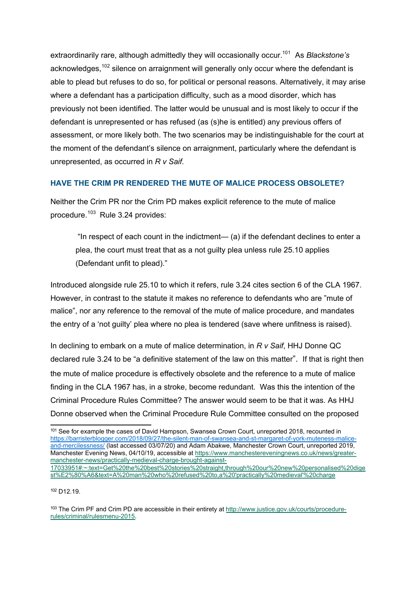extraordinarily rare, although admittedly they will occasionally occur. 101 As *Blackstone's* acknowledges.<sup>102</sup> silence on arraignment will generally only occur where the defendant is able to plead but refuses to do so, for political or personal reasons. Alternatively, it may arise where a defendant has a participation difficulty, such as a mood disorder, which has previously not been identified. The latter would be unusual and is most likely to occur if the defendant is unrepresented or has refused (as (s)he is entitled) any previous offers of assessment, or more likely both. The two scenarios may be indistinguishable for the court at the moment of the defendant's silence on arraignment, particularly where the defendant is unrepresented, as occurred in *R v Saif*.

# **HAVE THE CRIM PR RENDERED THE MUTE OF MALICE PROCESS OBSOLETE?**

Neither the Crim PR nor the Crim PD makes explicit reference to the mute of malice procedure.<sup>103</sup> Rule 3.24 provides:

"In respect of each count in the indictment—  $(a)$  if the defendant declines to enter a plea, the court must treat that as a not guilty plea unless rule 25.10 applies (Defendant unfit to plead)."

Introduced alongside rule 25.10 to which it refers, rule 3.24 cites section 6 of the CLA 1967. However, in contrast to the statute it makes no reference to defendants who are "mute of malice", nor any reference to the removal of the mute of malice procedure, and mandates the entry of a 'not guilty' plea where no plea is tendered (save where unfitness is raised).

In declining to embark on a mute of malice determination, in *R v Saif*, HHJ Donne QC declared rule 3.24 to be "a definitive statement of the law on this matter". If that is right then the mute of malice procedure is effectively obsolete and the reference to a mute of malice finding in the CLA 1967 has, in a stroke, become redundant. Was this the intention of the Criminal Procedure Rules Committee? The answer would seem to be that it was. As HHJ Donne observed when the Criminal Procedure Rule Committee consulted on the proposed

<sup>102</sup> D12.19.

103 The Crim PF and Crim PD are accessible in their entirety at http://www.justice.gov.uk/courts/procedurerules/criminal/rulesmenu-2015.

<sup>101</sup> See for example the cases of David Hampson, Swansea Crown Court, unreported 2018, recounted in https://barristerblogger.com/2018/09/27/the-silent-man-of-swansea-and-st-margaret-of-york-muteness-maliceand-mercilessness/ (last accessed 03/07/20) and Adam Abakwe, Manchester Crown Court, unreported 2019, Manchester Evening News, 04/10/19, accessible at https://www.manchestereveningnews.co.uk/news/greatermanchester-news/practically-medieval-charge-brought-against-17033951#:~:text=Get%20the%20best%20stories%20straight,through%20our%20new%20personalised%20dige st%E2%80%A6&text=A%20man%20who%20refused%20to,a%20'practically%20medieval'%20charge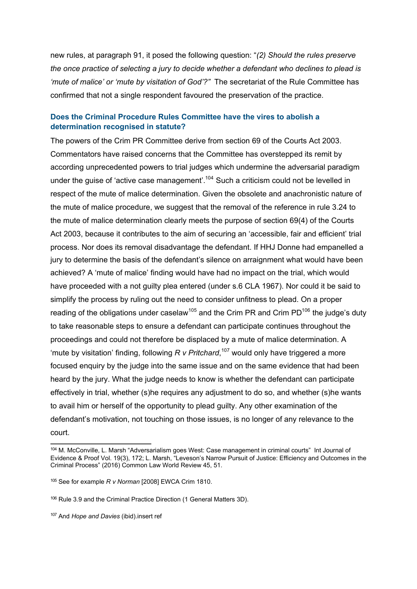new rules, at paragraph 91, it posed the following question: "*(2) Should the rules preserve the once practice of selecting a jury to decide whether a defendant who declines to plead is 'mute of malice' or 'mute by visitation of God'?"* The secretariat of the Rule Committee has confirmed that not a single respondent favoured the preservation of the practice.

### **Does the Criminal Procedure Rules Committee have the vires to abolish a determination recognised in statute?**

The powers of the Crim PR Committee derive from section 69 of the Courts Act 2003. Commentators have raised concerns that the Committee has overstepped its remit by according unprecedented powers to trial judges which undermine the adversarial paradigm under the guise of 'active case management'.<sup>104</sup> Such a criticism could not be levelled in respect of the mute of malice determination. Given the obsolete and anachronistic nature of the mute of malice procedure, we suggest that the removal of the reference in rule 3.24 to the mute of malice determination clearly meets the purpose of section 69(4) of the Courts Act 2003, because it contributes to the aim of securing an 'accessible, fair and efficient' trial process. Nor does its removal disadvantage the defendant. If HHJ Donne had empanelled a jury to determine the basis of the defendant's silence on arraignment what would have been achieved? A 'mute of malice' finding would have had no impact on the trial, which would have proceeded with a not guilty plea entered (under s.6 CLA 1967). Nor could it be said to simplify the process by ruling out the need to consider unfitness to plead. On a proper reading of the obligations under caselaw<sup>105</sup> and the Crim PR and Crim PD<sup>106</sup> the judge's duty to take reasonable steps to ensure a defendant can participate continues throughout the proceedings and could not therefore be displaced by a mute of malice determination. A 'mute by visitation' finding, following *R v Pritchard*, <sup>107</sup> would only have triggered a more focused enquiry by the judge into the same issue and on the same evidence that had been heard by the jury. What the judge needs to know is whether the defendant can participate effectively in trial, whether (s)he requires any adjustment to do so, and whether (s)he wants to avail him or herself of the opportunity to plead guilty. Any other examination of the defendant's motivation, not touching on those issues, is no longer of any relevance to the court.

<sup>104</sup> M. McConville, L. Marsh "Adversarialism goes West: Case management in criminal courts" Int Journal of Evidence & Proof Vol. 19(3), 172; L. Marsh, "Leveson's Narrow Pursuit of Justice: Efficiency and Outcomes in the Criminal Process" (2016) Common Law World Review 45, 51.

<sup>105</sup> See for example *R v Norman* [2008] EWCA Crim 1810.

<sup>106</sup> Rule 3.9 and the Criminal Practice Direction (1 General Matters 3D).

<sup>107</sup> And *Hope and Davies* (ibid).insert ref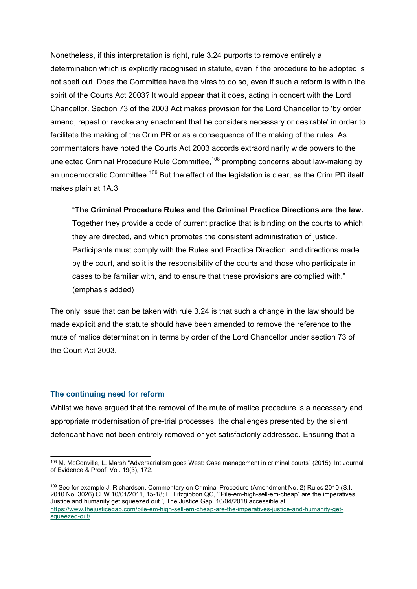Nonetheless, if this interpretation is right, rule 3.24 purports to remove entirely a determination which is explicitly recognised in statute, even if the procedure to be adopted is not spelt out. Does the Committee have the vires to do so, even if such a reform is within the spirit of the Courts Act 2003? It would appear that it does, acting in concert with the Lord Chancellor. Section 73 of the 2003 Act makes provision for the Lord Chancellor to 'by order amend, repeal or revoke any enactment that he considers necessary or desirable' in order to facilitate the making of the Crim PR or as a consequence of the making of the rules. As commentators have noted the Courts Act 2003 accords extraordinarily wide powers to the unelected Criminal Procedure Rule Committee,<sup>108</sup> prompting concerns about law-making by an undemocratic Committee.<sup>109</sup> But the effect of the legislation is clear, as the Crim PD itself makes plain at 1A.3:

"**The Criminal Procedure Rules and the Criminal Practice Directions are the law.** Together they provide a code of current practice that is binding on the courts to which they are directed, and which promotes the consistent administration of justice. Participants must comply with the Rules and Practice Direction, and directions made by the court, and so it is the responsibility of the courts and those who participate in cases to be familiar with, and to ensure that these provisions are complied with." (emphasis added)

The only issue that can be taken with rule 3.24 is that such a change in the law should be made explicit and the statute should have been amended to remove the reference to the mute of malice determination in terms by order of the Lord Chancellor under section 73 of the Court Act 2003.

#### **The continuing need for reform**

Whilst we have argued that the removal of the mute of malice procedure is a necessary and appropriate modernisation of pre-trial processes, the challenges presented by the silent defendant have not been entirely removed or yet satisfactorily addressed. Ensuring that a

<sup>108</sup> M. McConville, L. Marsh "Adversarialism goes West: Case management in criminal courts" (2015) Int Journal of Evidence & Proof, Vol. 19(3), 172.

<sup>109</sup> See for example J. Richardson, Commentary on Criminal Procedure (Amendment No. 2) Rules 2010 (S.I. 2010 No. 3026) CLW 10/01/2011, 15-18; F. Fitzgibbon QC, '"Pile-em-high-sell-em-cheap" are the imperatives. Justice and humanity get squeezed out.', The Justice Gap, 10/04/2018 accessible at https://www.thejusticegap.com/pile-em-high-sell-em-cheap-are-the-imperatives-justice-and-humanity-getsqueezed-out/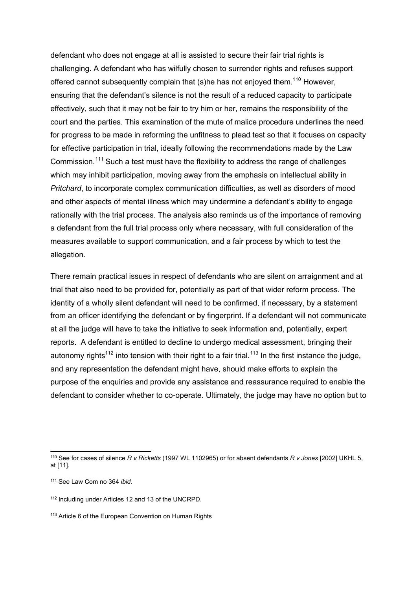defendant who does not engage at all is assisted to secure their fair trial rights is challenging. A defendant who has wilfully chosen to surrender rights and refuses support offered cannot subsequently complain that (s)he has not enjoyed them.<sup>110</sup> However, ensuring that the defendant's silence is not the result of a reduced capacity to participate effectively, such that it may not be fair to try him or her, remains the responsibility of the court and the parties. This examination of the mute of malice procedure underlines the need for progress to be made in reforming the unfitness to plead test so that it focuses on capacity for effective participation in trial, ideally following the recommendations made by the Law Commission.<sup>111</sup> Such a test must have the flexibility to address the range of challenges which may inhibit participation, moving away from the emphasis on intellectual ability in *Pritchard*, to incorporate complex communication difficulties, as well as disorders of mood and other aspects of mental illness which may undermine a defendant's ability to engage rationally with the trial process. The analysis also reminds us of the importance of removing a defendant from the full trial process only where necessary, with full consideration of the measures available to support communication, and a fair process by which to test the allegation.

There remain practical issues in respect of defendants who are silent on arraignment and at trial that also need to be provided for, potentially as part of that wider reform process. The identity of a wholly silent defendant will need to be confirmed, if necessary, by a statement from an officer identifying the defendant or by fingerprint. If a defendant will not communicate at all the judge will have to take the initiative to seek information and, potentially, expert reports. A defendant is entitled to decline to undergo medical assessment, bringing their autonomy rights<sup>112</sup> into tension with their right to a fair trial.<sup>113</sup> In the first instance the judge, and any representation the defendant might have, should make efforts to explain the purpose of the enquiries and provide any assistance and reassurance required to enable the defendant to consider whether to co-operate. Ultimately, the judge may have no option but to

<sup>110</sup> See for cases of silence *R v Ricketts* (1997 WL 1102965) or for absent defendants *R v Jones* [2002] UKHL 5, at [11].

<sup>111</sup> See Law Com no 364 *ibid.*

<sup>112</sup> Including under Articles 12 and 13 of the UNCRPD.

<sup>113</sup> Article 6 of the European Convention on Human Rights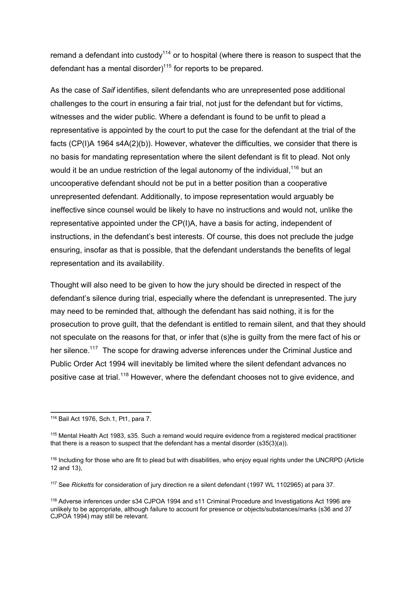remand a defendant into custody<sup>114</sup> or to hospital (where there is reason to suspect that the defendant has a mental disorder)<sup>115</sup> for reports to be prepared.

As the case of *Saif* identifies, silent defendants who are unrepresented pose additional challenges to the court in ensuring a fair trial, not just for the defendant but for victims, witnesses and the wider public. Where a defendant is found to be unfit to plead a representative is appointed by the court to put the case for the defendant at the trial of the facts (CP(I)A 1964 s4A(2)(b)). However, whatever the difficulties, we consider that there is no basis for mandating representation where the silent defendant is fit to plead. Not only would it be an undue restriction of the legal autonomy of the individual,<sup>116</sup> but an uncooperative defendant should not be put in a better position than a cooperative unrepresented defendant. Additionally, to impose representation would arguably be ineffective since counsel would be likely to have no instructions and would not, unlike the representative appointed under the CP(I)A, have a basis for acting, independent of instructions, in the defendant's best interests. Of course, this does not preclude the judge ensuring, insofar as that is possible, that the defendant understands the benefits of legal representation and its availability.

Thought will also need to be given to how the jury should be directed in respect of the defendant's silence during trial, especially where the defendant is unrepresented. The jury may need to be reminded that, although the defendant has said nothing, it is for the prosecution to prove guilt, that the defendant is entitled to remain silent, and that they should not speculate on the reasons for that, or infer that (s)he is guilty from the mere fact of his or her silence.<sup>117</sup> The scope for drawing adverse inferences under the Criminal Justice and Public Order Act 1994 will inevitably be limited where the silent defendant advances no positive case at trial.<sup>118</sup> However, where the defendant chooses not to give evidence, and

<sup>114</sup> Bail Act 1976, Sch.1, Pt1, para 7.

<sup>115</sup> Mental Health Act 1983, s35. Such a remand would require evidence from a registered medical practitioner that there is a reason to suspect that the defendant has a mental disorder (s35(3)(a)).

<sup>116</sup> Including for those who are fit to plead but with disabilities, who enjoy equal rights under the UNCRPD (Article 12 and 13),

<sup>117</sup> See *Ricketts* for consideration of jury direction re a silent defendant (1997 WL 1102965) at para 37.

<sup>118</sup> Adverse inferences under s34 CJPOA 1994 and s11 Criminal Procedure and Investigations Act 1996 are unlikely to be appropriate, although failure to account for presence or objects/substances/marks (s36 and 37 CJPOA 1994) may still be relevant.